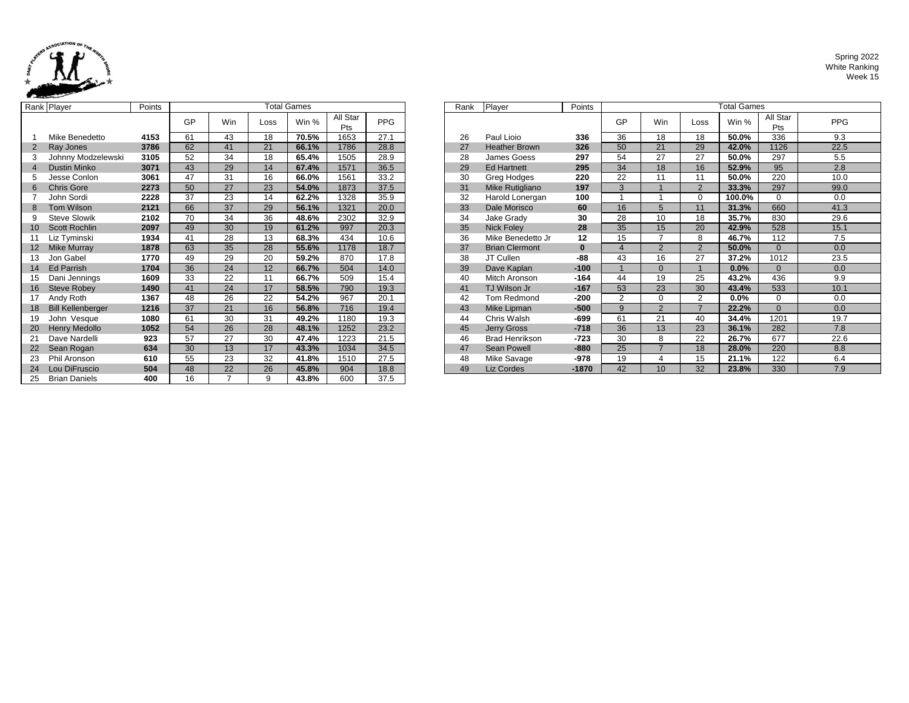

|                 | Rank Player              | Points |    |                 |      | <b>Total Games</b> |                 |            | Rank | Player                | Points   |                |
|-----------------|--------------------------|--------|----|-----------------|------|--------------------|-----------------|------------|------|-----------------------|----------|----------------|
|                 |                          |        | GP | <b>Win</b>      | Loss | Win %              | All Star<br>Pts | <b>PPG</b> |      |                       |          | GF             |
|                 | Mike Benedetto           | 4153   | 61 | 43              | 18   | 70.5%              | 1653            | 27.1       | 26   | Paul Lioio            | 336      | 36             |
| $\overline{2}$  | Ray Jones                | 3786   | 62 | 41              | 21   | 66.1%              | 1786            | 28.8       | 27   | <b>Heather Brown</b>  | 326      | 50             |
| 3               | Johnny Modzelewski       | 3105   | 52 | 34              | 18   | 65.4%              | 1505            | 28.9       | 28   | James Goess           | 297      | 54             |
| $\overline{4}$  | <b>Dustin Minko</b>      | 3071   | 43 | 29              | 14   | 67.4%              | 1571            | 36.5       | 29   | <b>Ed Hartnett</b>    | 295      | 34             |
| 5               | Jesse Conlon             | 3061   | 47 | 31              | 16   | 66.0%              | 1561            | 33.2       | 30   | Greg Hodges           | 220      | 22             |
| 6               | <b>Chris Gore</b>        | 2273   | 50 | 27              | 23   | 54.0%              | 1873            | 37.5       | 31   | Mike Rutigliano       | 197      | 3              |
|                 | John Sordi               | 2228   | 37 | 23              | 14   | 62.2%              | 1328            | 35.9       | 32   | Harold Lonergan       | 100      | $\mathbf{1}$   |
| 8               | Tom Wilson               | 2121   | 66 | $\overline{37}$ | 29   | 56.1%              | 1321            | 20.0       | 33   | Dale Morisco          | 60       | 16             |
| 9               | <b>Steve Slowik</b>      | 2102   | 70 | 34              | 36   | 48.6%              | 2302            | 32.9       | 34   | Jake Grady            | 30       | 28             |
| 10 <sup>°</sup> | <b>Scott Rochlin</b>     | 2097   | 49 | 30              | 19   | 61.2%              | 997             | 20.3       | 35   | <b>Nick Foley</b>     | 28       | 35             |
| 11              | Liz Tyminski             | 1934   | 41 | 28              | 13   | 68.3%              | 434             | 10.6       | 36   | Mike Benedetto Jr     | 12       | 15             |
| 12              | <b>Mike Murray</b>       | 1878   | 63 | 35              | 28   | 55.6%              | 1178            | 18.7       | 37   | <b>Brian Clermont</b> | $\bf{0}$ | $\overline{4}$ |
| 13              | Jon Gabel                | 1770   | 49 | 29              | 20   | 59.2%              | 870             | 17.8       | 38   | JT Cullen             | -88      | 43             |
| 14              | <b>Ed Parrish</b>        | 1704   | 36 | 24              | 12   | 66.7%              | 504             | 14.0       | 39   | Dave Kaplan           | $-100$   | $\mathbf{1}$   |
| 15              | Dani Jennings            | 1609   | 33 | 22              | 11   | 66.7%              | 509             | 15.4       | 40   | Mitch Aronson         | $-164$   | 44             |
| 16              | <b>Steve Robey</b>       | 1490   | 41 | 24              | 17   | 58.5%              | 790             | 19.3       | 41   | TJ Wilson Jr          | $-167$   | 53             |
| 17              | Andy Roth                | 1367   | 48 | 26              | 22   | 54.2%              | 967             | 20.1       | 42   | Tom Redmond           | -200     | $\overline{2}$ |
| 18              | <b>Bill Kellenberger</b> | 1216   | 37 | 21              | 16   | 56.8%              | 716             | 19.4       | 43   | Mike Lipman           | $-500$   | 9              |
| 19              | John Vesque              | 1080   | 61 | 30              | 31   | 49.2%              | 1180            | 19.3       | 44   | Chris Walsh           | $-699$   | 61             |
| 20              | <b>Henry Medollo</b>     | 1052   | 54 | 26              | 28   | 48.1%              | 1252            | 23.2       | 45   | <b>Jerry Gross</b>    | $-718$   | 36             |
| 21              | Dave Nardelli            | 923    | 57 | 27              | 30   | 47.4%              | 1223            | 21.5       | 46   | <b>Brad Henrikson</b> | $-723$   | 30             |
| 22              | Sean Rogan               | 634    | 30 | 13              | 17   | 43.3%              | 1034            | 34.5       | 47   | <b>Sean Powell</b>    | $-880$   | 25             |
| 23              | Phil Aronson             | 610    | 55 | 23              | 32   | 41.8%              | 1510            | 27.5       | 48   | Mike Savage           | -978     | 19             |
| 24              | Lou DiFruscio            | 504    | 48 | 22              | 26   | 45.8%              | 904             | 18.8       | 49   | Liz Cordes            | $-1870$  | 42             |
| 25              | <b>Brian Daniels</b>     | 400    | 16 | $\overline{7}$  | 9    | 43.8%              | 600             | 37.5       |      |                       |          |                |

|            | ank Player                                                    | Points           |                          |                          |        | <b>Total Games</b> |                 |               | Rank | Player                | Points   | <b>Total Games</b> |                 |                |         |                 |      |
|------------|---------------------------------------------------------------|------------------|--------------------------|--------------------------|--------|--------------------|-----------------|---------------|------|-----------------------|----------|--------------------|-----------------|----------------|---------|-----------------|------|
|            |                                                               |                  | GP                       | Win                      | Loss   | Win %              | All Star<br>Pts | <b>PPG</b>    |      |                       |          | GP                 | Win             | Loss           | Win %   | All Star<br>Pts | PPG  |
|            | Mike Benedetto                                                | 4153             | 61                       | 43                       | 18     | 70.5%              | 1653            | 27.1          | 26   | Paul Lioio            | 336      | 36                 | 18              | 18             | 50.0%   | 336             | 9.3  |
|            | Ray Jones                                                     | 3786             | 62                       | 41                       | 21     | 66.1%              | 1786            | 28.8          | 27   | <b>Heather Brown</b>  | 326      | 50                 | 21              | 29             | 42.0%   | 1126            | 22.5 |
|            | Johnny Modzelewski                                            | 3105             | 52                       | 34                       | 18     | 65.4%              | 1505            | 28.9          | 28   | James Goess           | 297      | 54                 | 27              | 27             | 50.0%   | 297             | 5.5  |
|            | <b>Dustin Minko</b>                                           | 3071             | 43                       | 29                       | 14     | 67.4%              | 1571            | 36.5          | 29   | <b>Ed Hartnett</b>    | 295      | 34                 | 18              | 16             | 52.9%   | 95              | 2.8  |
|            | Jesse Conlon                                                  | 3061             | 47                       | 31                       | 16     | 66.0%              | 1561            | 33.2          | 30   | Greg Hodges           | 220      | 22                 | 11              | 11             | 50.0%   | 220             | 10.0 |
|            | <b>Chris Gore</b>                                             | 2273             | 50                       | 27                       | 23     | 54.0%              | 1873            | 37.5          | 31   | Mike Rutigliano       | 197      | 3                  |                 | $\overline{2}$ | 33.3%   | 297             | 99.0 |
|            | John Sordi                                                    | 2228             | 37                       | 23                       | 14     | 62.2%              | 1328            | 35.9          | 32   | Harold Lonergan       | 100      |                    |                 | $\Omega$       | 100.0%  | $\Omega$        | 0.0  |
|            | Tom Wilson                                                    | 2121             | 66                       | 37                       | 29     | 56.1%              | 1321            | 20.0          | 33   | Dale Morisco          | 60       | 16                 | 5               | 11             | 31.3%   | 660             | 41.3 |
|            | <b>Steve Slowik</b>                                           | 2102             | 70                       | 34                       | 36     | 48.6%              | 2302            | 32.9          | 34   | Jake Grady            | 30       | 28                 | 10              | 18             | 35.7%   | 830             | 29.6 |
|            | Scott Rochlin                                                 | 2097             | 49                       | 30                       | 19     | 61.2%              | 997             | 20.3          | 35   | <b>Nick Foley</b>     | 28       | 35                 | 15              | 20             | 42.9%   | 528             | 15.1 |
|            | Liz Tyminski                                                  | 1934             | 41                       | 28                       | 13     | 68.3%              | 434             | 10.6          | 36   | Mike Benedetto Jr     | 12       | 15                 |                 | 8              | 46.7%   | 112             | 7.5  |
|            | <b>Mike Murray</b>                                            | 1878             | 63                       | 35                       | 28     | 55.6%              | 1178            | 18.7          | 37   | <b>Brian Clermont</b> | $\bf{0}$ |                    | $\overline{2}$  | $\overline{2}$ | 50.0%   | $\Omega$        | 0.0  |
|            | Jon Gabel                                                     | 1770             | 49                       | 29                       | 20     | 59.2%              | 870             | 17.8          | 38   | JT Cullen             | $-88$    | 43                 | 16              | 27             | 37.2%   | 1012            | 23.5 |
|            | <b>Ed Parrish</b>                                             | 1704             | 36                       | 24                       | 12     | 66.7%              | 504             | 14.0          | 39   | Dave Kaplan           | $-100$   |                    | $\Omega$        |                | 0.0%    | $\Omega$        | 0.0  |
|            | Dani Jennings                                                 | 1609             | 33                       | 22                       | 11     | 66.7%              | 509             | 15.4          | 40   | Mitch Aronson         | $-164$   | 44                 | 19              | 25             | 43.2%   | 436             | 9.9  |
| 16         | <b>Steve Robey</b>                                            | 1490             | 41                       | 24                       | 17     | 58.5%              | 790             | 19.3          | 41   | TJ Wilson Jr          | $-167$   | 53                 | 23              | 30             | 43.4%   | 533             | 10.1 |
|            | Andy Roth                                                     | 1367             | 48                       | 26                       | 22     | 54.2%              | 967             | 20.1          | 42   | Tom Redmond           | $-200$   | 2                  | $\Omega$        | $\overline{2}$ | $0.0\%$ | $\Omega$        | 0.0  |
|            | <b>Bill Kellenberger</b>                                      | 1216             | 37                       | 21                       | 16     | 56.8%              | 716             | 19.4          | 43   | Mike Lipman           | $-500$   | 9                  | 2               |                | 22.2%   | $\Omega$        | 0.0  |
| 19         | John Vesque                                                   | 1080             | 61                       | 30                       | 31     | 49.2%              | 1180            | 19.3          | 44   | Chris Walsh           | $-699$   | 61                 | 21              | 40             | 34.4%   | 1201            | 19.7 |
| 20         | <b>Henry Medollo</b>                                          | 1052             | 54                       | 26                       | 28     | 48.1%              | 1252            | 23.2          | 45   | Jerry Gross           | $-718$   | 36                 | 13              | 23             | 36.1%   | 282             | 7.8  |
|            | Dave Nardelli                                                 | 923              | 57                       | 27                       | 30     | 47.4%              | 1223            | 21.5          | 46   | <b>Brad Henrikson</b> | $-723$   | 30                 | 8               | 22             | 26.7%   | 677             | 22.6 |
|            | Sean Rogan                                                    | 634              | 30                       | 13                       | 17     | 43.3%              | 1034            | 34.5          | 47   | Sean Powell           | $-880$   | 25                 |                 | 18             | 28.0%   | 220             | 8.8  |
|            | Phil Aronson                                                  | 610              | 55                       | 23                       | 32     | 41.8%              | 1510            | 27.5          | 48   | Mike Savage           | $-978$   | 19                 | $\overline{4}$  | 15             | 21.1%   | 122             | 6.4  |
| 24         | Lou DiFruscio                                                 | 504              | 48                       | 22                       | 26     | 45.8%              | 904             | 18.8          | 49   | Liz Cordes            | $-1870$  | 42                 | 10 <sup>1</sup> | 32             | 23.8%   | 330             | 7.9  |
| $\sim$ $-$ | $P_1$ , $P_2$ , $P_3$ , $P_4$ , $P_5$ , $P_6$ , $P_7$ , $P_8$ | $\overline{100}$ | $\overline{\phantom{a}}$ | $\overline{\phantom{a}}$ | $\sim$ | 10.001             | $\sim$          | $\sim$ $\sim$ |      |                       |          |                    |                 |                |         |                 |      |

### Spring 2022 White Ranking Week 15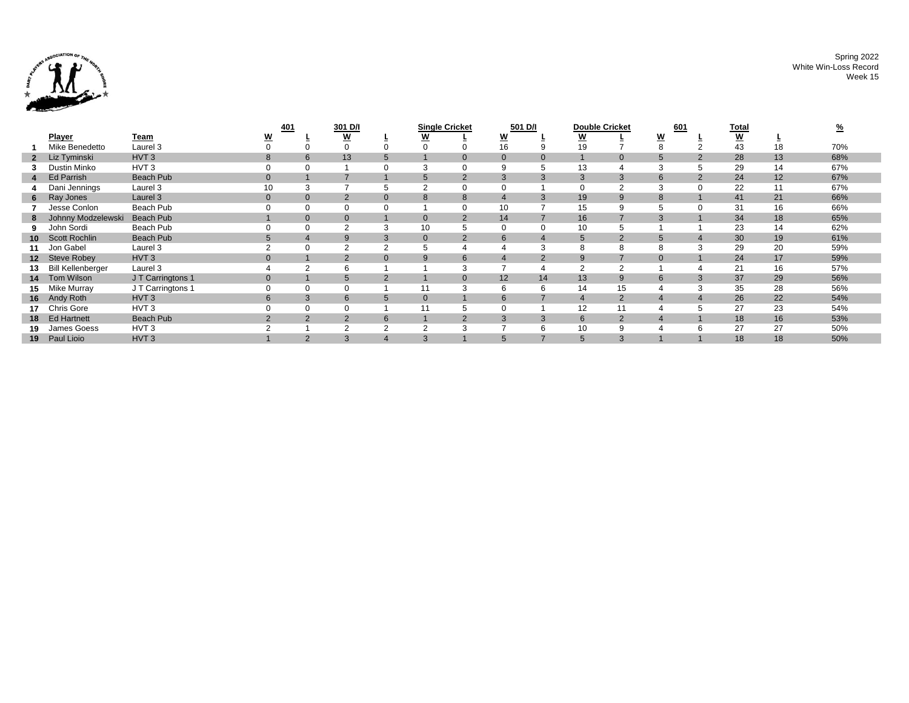

Spring 2022 White Win-Loss Record Week 15

|        |                      |                     | 401            |                | 301 D/I        |                | <b>Single Cricket</b> |                | 501 D/I        |                | <b>Double Cricket</b> |                  | <u>601</u>      |   | <u>Total</u>             |    |     |
|--------|----------------------|---------------------|----------------|----------------|----------------|----------------|-----------------------|----------------|----------------|----------------|-----------------------|------------------|-----------------|---|--------------------------|----|-----|
|        | <b>Player</b>        | <u>Team</u>         | W              |                | W              |                | <u>W</u>              |                | <u>W</u>       |                | <u>w</u>              |                  | W               |   | $\underline{\mathsf{w}}$ |    |     |
|        | Mike Benedetto       | Laurel <sub>3</sub> |                |                | $\Omega$       |                |                       |                | 16             |                | 19                    |                  |                 |   | 43                       | 18 | 70% |
|        | 2 Liz Tyminski       | HVT <sub>3</sub>    |                | 6              | 13             |                |                       | $\mathbf{0}$   | $\overline{0}$ |                |                       | $\mathbf{0}$     |                 |   | 28                       | 13 | 68% |
|        | Dustin Minko         | HVT <sub>3</sub>    |                |                |                |                | 3                     | $\Omega$       | 9              |                | 13                    | $\boldsymbol{4}$ | 3               | 5 | 29                       | 14 | 67% |
|        | Ed Parrish           | <b>Beach Pub</b>    | $\mathbf{0}$   |                |                |                | 5                     | $\overline{2}$ | 3              | 3              | 3                     | 3                | 6               | 2 | 24                       | 12 | 67% |
|        | Dani Jennings        | Laurel 3            | 10             | 3              |                |                | $\sim$                |                |                |                | 0                     |                  |                 |   | 22                       | 11 | 67% |
|        | 6 Ray Jones          | Laurel 3            | $\mathbf{0}$   | $\overline{0}$ | $\overline{2}$ | $\Omega$       | 8                     | 8              |                |                | 19                    | 9                | $\mathcal{B}$   |   | 41                       | 21 | 66% |
|        | Jesse Conlon         | Beach Pub           |                |                | 0              |                |                       | $\Omega$       | 10             |                | 15                    | 9                |                 |   | 31                       | 16 | 66% |
|        | Johnny Modzelewski   | <b>Beach Pub</b>    |                | $\overline{0}$ | $\mathbf{0}$   |                | $\mathbf{0}$          | $\overline{2}$ | 14             |                | 16                    | 7                | $\mathcal{B}$   |   | 34                       | 18 | 65% |
|        | John Sordi           | Beach Pub           |                | 0              | 2              |                | 10                    | 5              |                | $\Omega$       | 10                    | 5                |                 |   | 23                       | 14 | 62% |
|        | 10 Scott Rochlin     | <b>Beach Pub</b>    | 5              | 4              | 9              | 3              | $\mathbf{0}$          | $\overline{2}$ | 6 <sup>1</sup> |                | 5                     | 2                | $5\overline{5}$ | 4 | 30                       | 19 | 61% |
| 11     | Jon Gabel            | Laurel <sub>3</sub> |                | $\Omega$       | $\overline{2}$ |                | 5                     | 4              |                |                | 8                     | 8                |                 | 3 | 29                       | 20 | 59% |
|        | 12 Steve Robey       | HVT <sub>3</sub>    | $\mathbf{0}$   |                | 2              | $\Omega$       | 9                     | 6              |                | $\overline{2}$ | 9                     | $\overline{7}$   | $\Omega$        |   | 24                       | 17 | 59% |
|        | 13 Bill Kellenberger | Laurel 3            |                | 2              | 6              |                |                       | 3              |                |                | 2                     | $\overline{2}$   |                 |   | 21                       | 16 | 57% |
|        | 14 Tom Wilson        | JT Carringtons 1    | $\mathbf{0}$   |                | 5              | $\overline{2}$ |                       | $\overline{0}$ | 12             | 14             | 13                    | 9                | 6               | 3 | 37                       | 29 | 56% |
|        | 15 Mike Murray       | J T Carringtons 1   |                | 0              | 0              |                | 11                    | 3              | 6              | 6              | 14                    | 15               |                 | 3 | 35                       | 28 | 56% |
|        | 16 Andy Roth         | HVT <sub>3</sub>    | 6              | 3              | 6              | 5              | $\mathbf{0}$          |                | 6              |                | $\overline{4}$        | 2                |                 |   | 26                       | 22 | 54% |
|        | 17 Chris Gore        | HVT <sub>3</sub>    |                | $\Omega$       | 0              |                |                       | 5              |                |                | 12                    | 11               |                 |   | 27                       | 23 | 54% |
|        | 18 Ed Hartnett       | <b>Beach Pub</b>    | $\overline{2}$ | 2              | $\overline{2}$ | 6              |                       | $\overline{2}$ |                | 3              | 6                     | 2                | $\overline{4}$  |   | 18                       | 16 | 53% |
| 19     | James Goess          | HVT <sub>3</sub>    |                |                |                |                | ◠                     |                |                | 6              | 10                    | 9                |                 | 6 | 27                       | 27 | 50% |
| $19-1$ | Paul Lioio           | HVT <sub>3</sub>    |                | $\Omega$       |                |                | 3                     |                |                |                |                       | 3                |                 |   | 18                       | 18 | 50% |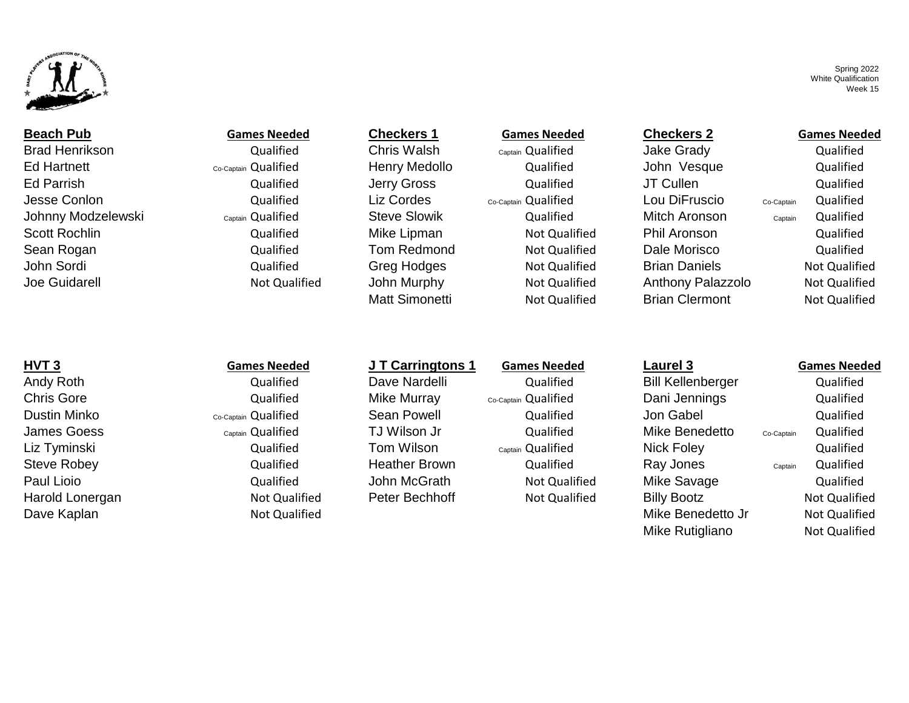

Brad Henrikson Qualified Chris Walsh c<sub>aptain</sub> Qualified Jake Grady Qualified Ed Hartnett Co-Captain Qualified Henry Medollo Qualified John Vesque Qualified Ed Parrish **Ed Parrish Cualified** Gualified Jerry Gross **Cualified Gualified** JT Cullen Cualified Qualified Jesse Conlon Qualified Liz Cordes Co-Captain Qualified Lou DiFruscio Co-Captain Qualified Johnny Modzelewski Captain Qualified Steve Slowik Qualified Mitch Aronson Captain Qualified Scott Rochlin **Submer Contained Mike Lipman** Not Qualified Phil Aronson and Qualified Qualified Sean Rogan **Subset Constructs Constructs Constructs** Tom Redmond Not Qualified Dale Morisco Cualified Qualified John Sordi Not Qualified Greg Hodges Not Qualified Brian Daniels Not Qualified Brian Daniels Not Qualified Joe Guidarell Not Qualified John Murphy Not Qualified Anthony Palazzolo Not Qualified

## **Beach Pub Games Needed Checkers 1 Games Needed Checkers 2 Games Needed**

Matt Simonetti **Not Qualified** Brian Clermont Not Qualified

Spring 2022 White Qualification Week 15

# **HVT 3 Games Needed J T Carringtons 1 Games Needed Laurel 3 Games Needed** Andy Roth **Canadia Constructs Constructs Constructs** Dave Nardelli **Constructs Qualified** Bill Kellenberger and Qualified Chris Gore **Gore Constant Constant Constant Communism** Co-Captain Qualified Chris Gore Dani Jennings Qualified Dustin Minko **Co-Captain Qualified** Sean Powell Gualified Qualified Jon Gabel Gualified Qualified James Goess Captain Qualified TJ Wilson Jr Qualified Mike Benedetto Co-Captain Qualified Liz Tyminski Qualified Tom Wilson Captain Qualified Nick Foley Qualified Steve Robey Qualified Heather Brown Qualified Ray Jones Captain Qualified Paul Lioio **Cance Accide Contract Contract Contract** Cualified Mike Savage Cualified Qualified

Harold Lonergan **Not Cualified** Peter Bechhoff Not Qualified Billy Bootz Not Qualified Not Qualified Dave Kaplan Not Qualified **Note Apple 2018** Not Qualified And Allen Controller Mike Benedetto Jr Not Qualified

Mike Rutigliano Not Qualified